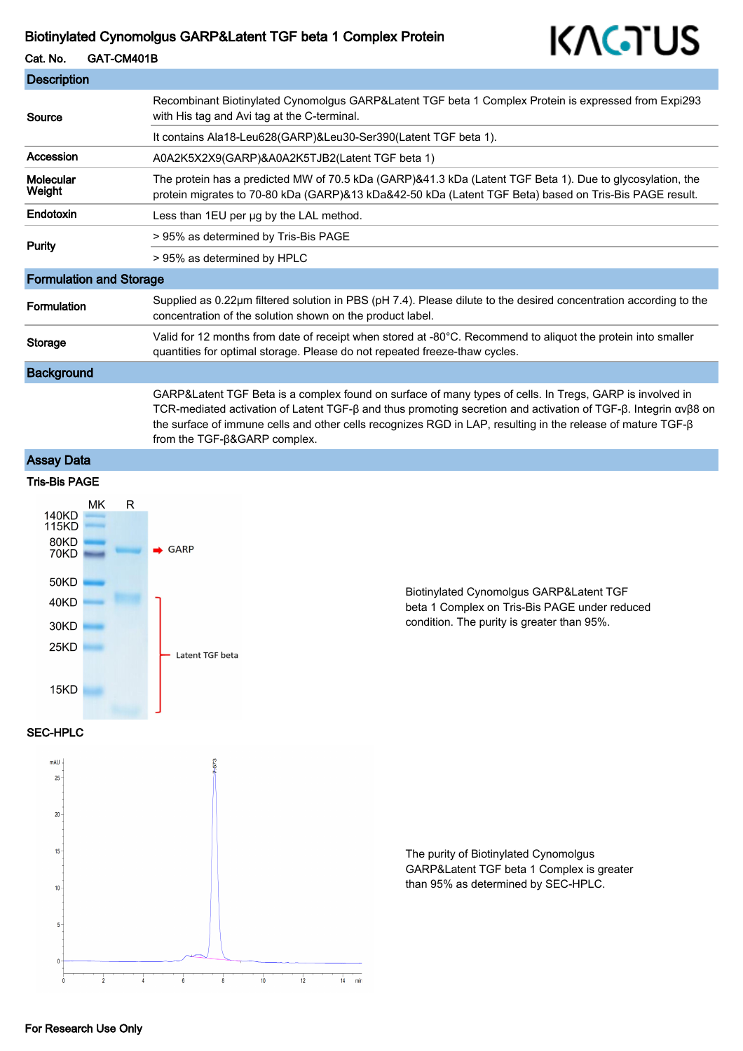#### Biotinylated Cynomolgus GARP&Latent TGF beta 1 Complex Protein

Cat. No. GAT-CM401B

| <b>Description</b>             |                                                                                                                                                                                                                                                                                                                                                                                   |
|--------------------------------|-----------------------------------------------------------------------------------------------------------------------------------------------------------------------------------------------------------------------------------------------------------------------------------------------------------------------------------------------------------------------------------|
| Source                         | Recombinant Biotinylated Cynomolgus GARP&Latent TGF beta 1 Complex Protein is expressed from Expi293<br>with His tag and Avi tag at the C-terminal.                                                                                                                                                                                                                               |
|                                | It contains Ala18-Leu628(GARP)&Leu30-Ser390(Latent TGF beta 1).                                                                                                                                                                                                                                                                                                                   |
| Accession                      | A0A2K5X2X9(GARP)&A0A2K5TJB2(Latent TGF beta 1)                                                                                                                                                                                                                                                                                                                                    |
| Molecular<br>Weight            | The protein has a predicted MW of 70.5 kDa (GARP)&41.3 kDa (Latent TGF Beta 1). Due to glycosylation, the<br>protein migrates to 70-80 kDa (GARP)&13 kDa&42-50 kDa (Latent TGF Beta) based on Tris-Bis PAGE result.                                                                                                                                                               |
| Endotoxin                      | Less than 1EU per ug by the LAL method.                                                                                                                                                                                                                                                                                                                                           |
| Purity                         | > 95% as determined by Tris-Bis PAGE                                                                                                                                                                                                                                                                                                                                              |
|                                | > 95% as determined by HPLC                                                                                                                                                                                                                                                                                                                                                       |
| <b>Formulation and Storage</b> |                                                                                                                                                                                                                                                                                                                                                                                   |
| Formulation                    | Supplied as 0.22µm filtered solution in PBS (pH 7.4). Please dilute to the desired concentration according to the<br>concentration of the solution shown on the product label.                                                                                                                                                                                                    |
| <b>Storage</b>                 | Valid for 12 months from date of receipt when stored at -80°C. Recommend to aliquot the protein into smaller<br>quantities for optimal storage. Please do not repeated freeze-thaw cycles.                                                                                                                                                                                        |
| <b>Background</b>              |                                                                                                                                                                                                                                                                                                                                                                                   |
|                                | GARP&Latent TGF Beta is a complex found on surface of many types of cells. In Tregs, GARP is involved in<br>TCR-mediated activation of Latent TGF-β and thus promoting secretion and activation of TGF-β. Integrin ανβ8 on<br>the surface of immune cells and other cells recognizes RGD in LAP, resulting in the release of mature TGF-β<br>from the $TGF-\beta & GARP complex.$ |

KAGTUS

## Assay Data





 $\frac{1}{8}$ 

 $\overline{6}$ 

 $\frac{1}{10}$ 

 $12$ 

 $\frac{1}{14}$ min